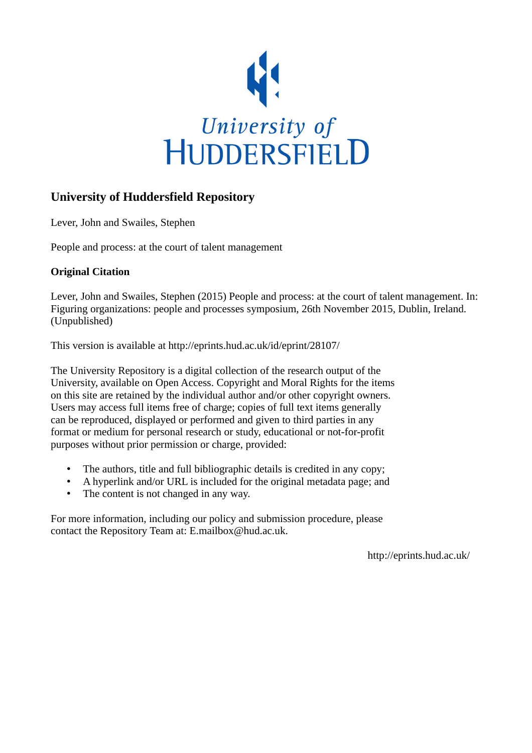

#### **University of Huddersfield Repository**

Lever, John and Swailes, Stephen

People and process: at the court of talent management

#### **Original Citation**

Lever, John and Swailes, Stephen (2015) People and process: at the court of talent management. In: Figuring organizations: people and processes symposium, 26th November 2015, Dublin, Ireland. (Unpublished)

This version is available at http://eprints.hud.ac.uk/id/eprint/28107/

The University Repository is a digital collection of the research output of the University, available on Open Access. Copyright and Moral Rights for the items on this site are retained by the individual author and/or other copyright owners. Users may access full items free of charge; copies of full text items generally can be reproduced, displayed or performed and given to third parties in any format or medium for personal research or study, educational or not-for-profit purposes without prior permission or charge, provided:

- The authors, title and full bibliographic details is credited in any copy;
- A hyperlink and/or URL is included for the original metadata page; and
- The content is not changed in any way.

For more information, including our policy and submission procedure, please contact the Repository Team at: E.mailbox@hud.ac.uk.

http://eprints.hud.ac.uk/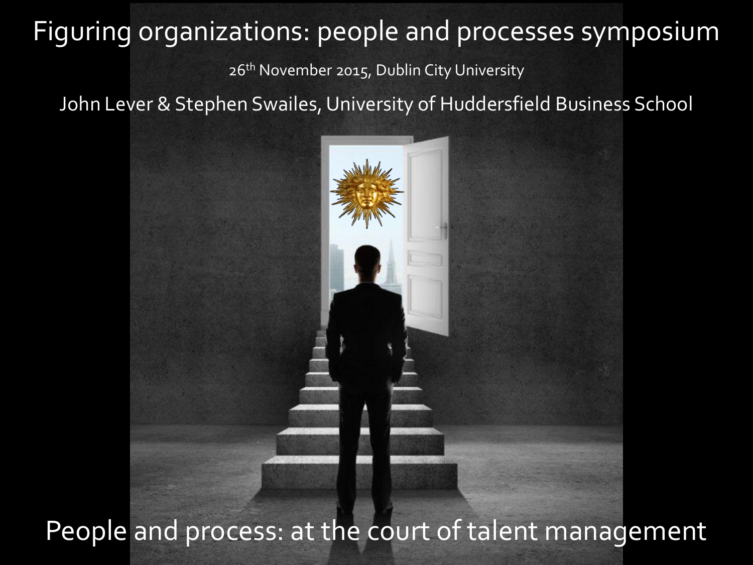#### Figuring organizations: people and processes symposium

26<sup>th</sup> November 2015, Dublin City University

John Lever & Stephen Swailes, University of Huddersfield Business School



People and process: at the court of talent management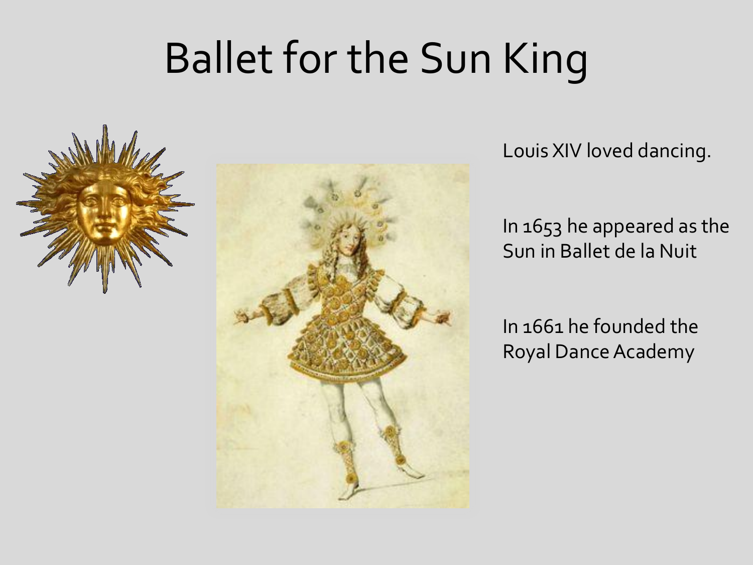## Ballet for the Sun King





Louis XIV loved dancing.

In 1653 he appeared as the Sun in Ballet de la Nuit

In 1661 he founded the Royal Dance Academy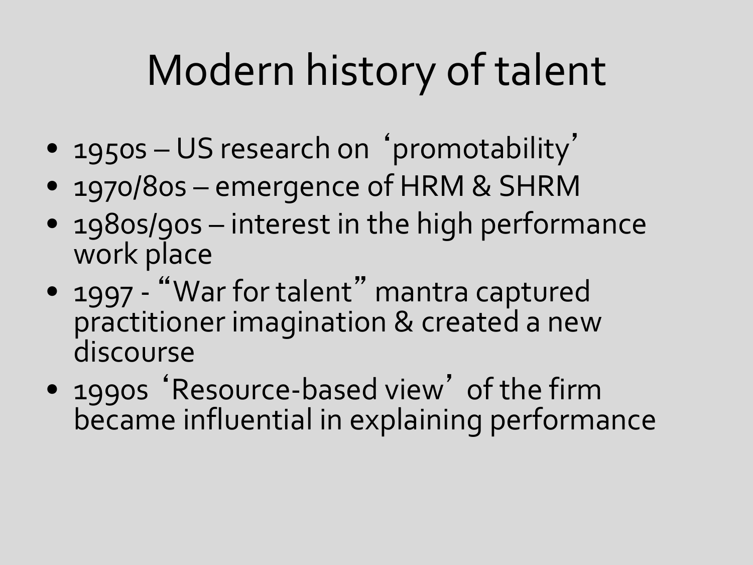# Modern history of talent

- 1950s US research on 'promotability'
- 1970/80s emergence of HRM & SHRM
- 1980s/90s interest in the high performance work place
- 1997 "War for talent" mantra captured practitioner imagination & created a new discourse
- 1990s 'Resource-based view' of the firm became influential in explaining performance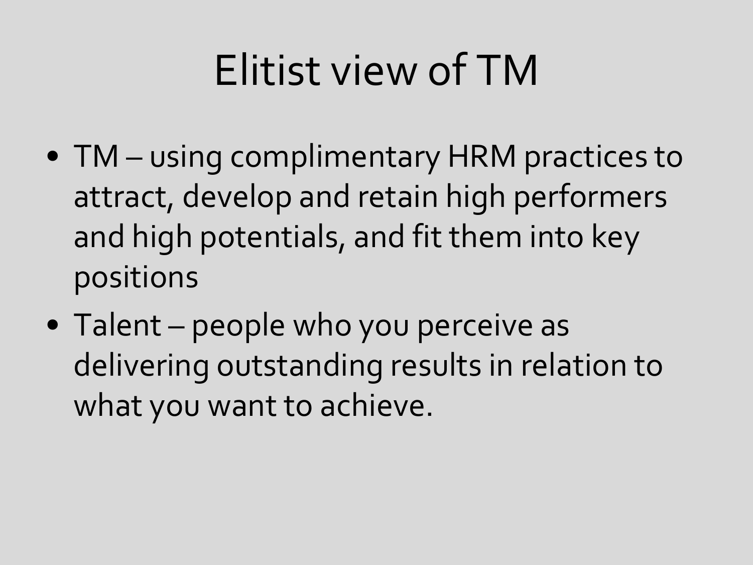# Elitist view of TM

- TM using complimentary HRM practices to attract, develop and retain high performers and high potentials, and fit them into key positions
- Talent people who you perceive as delivering outstanding results in relation to what you want to achieve.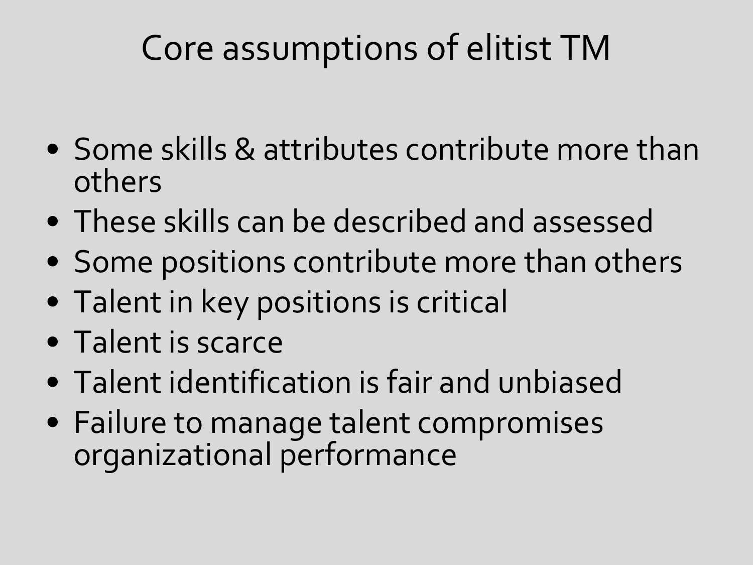## Core assumptions of elitist TM

- Some skills & attributes contribute more than others
- These skills can be described and assessed
- Some positions contribute more than others
- Talent in key positions is critical
- Talent is scarce
- Talent identification is fair and unbiased
- Failure to manage talent compromises organizational performance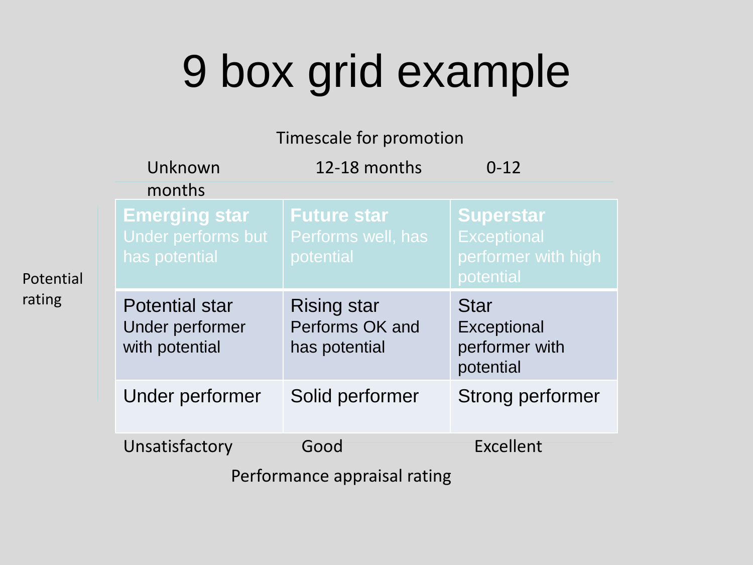# 9 box grid example

#### Timescale for promotion

|                              | Unknown                                                     | 12-18 months                                           | $0 - 12$                                                                   |
|------------------------------|-------------------------------------------------------------|--------------------------------------------------------|----------------------------------------------------------------------------|
|                              | months                                                      |                                                        |                                                                            |
|                              | <b>Emerging star</b><br>Under performs but<br>has potential | <b>Future star</b><br>Performs well, has<br>potential  | <b>Superstar</b><br><b>Exceptional</b><br>performer with high<br>potential |
|                              | <b>Potential star</b><br>Under performer<br>with potential  | <b>Rising star</b><br>Performs OK and<br>has potential | <b>Star</b><br>Exceptional<br>performer with<br>potential                  |
|                              | Under performer                                             | Solid performer                                        | Strong performer                                                           |
|                              | Unsatisfactory                                              | Good                                                   | Excellent                                                                  |
| Performance appraisal rating |                                                             |                                                        |                                                                            |

Potential rating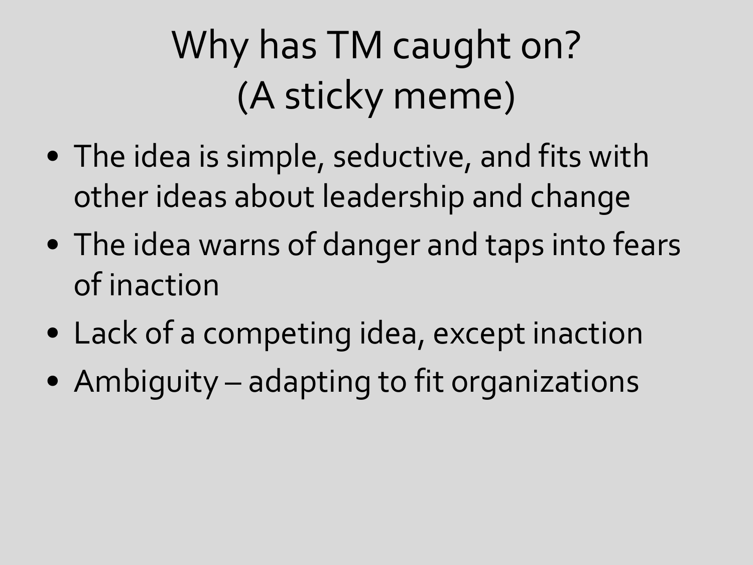# Why has TM caught on? (A sticky meme)

- The idea is simple, seductive, and fits with other ideas about leadership and change
- The idea warns of danger and taps into fears of inaction
- Lack of a competing idea, except inaction
- Ambiguity adapting to fit organizations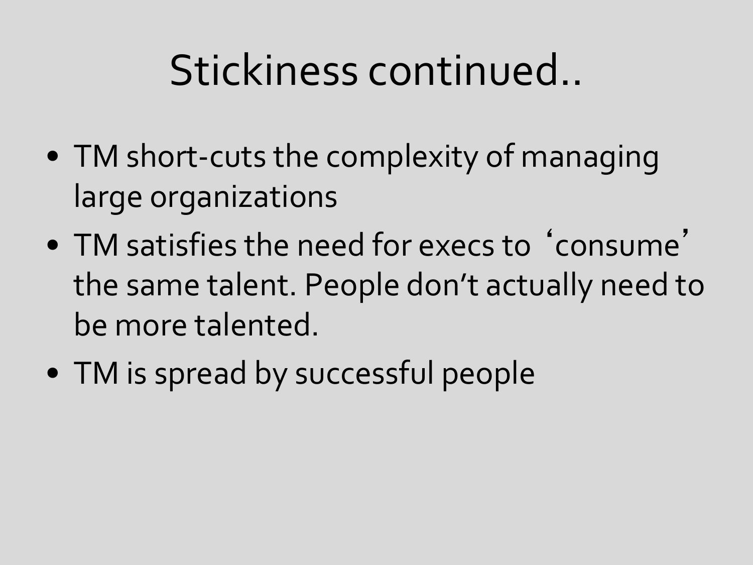## Stickiness continued..

- TM short-cuts the complexity of managing large organizations
- TM satisfies the need for execs to ' consume ' the same talent. People don't actually need to be more talented.
- TM is spread by successful people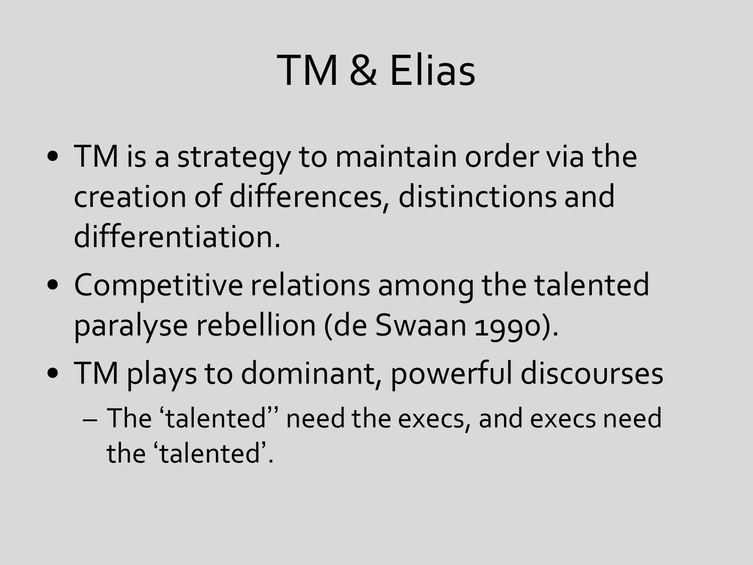# TM & Elias

- TM is a strategy to maintain order via the creation of differences, distinctions and differentiation.
- Competitive relations among the talented paralyse rebellion (de Swaan 1990).
- TM plays to dominant, powerful discourses – The 'talented'' need the execs, and execs need the 'talented'.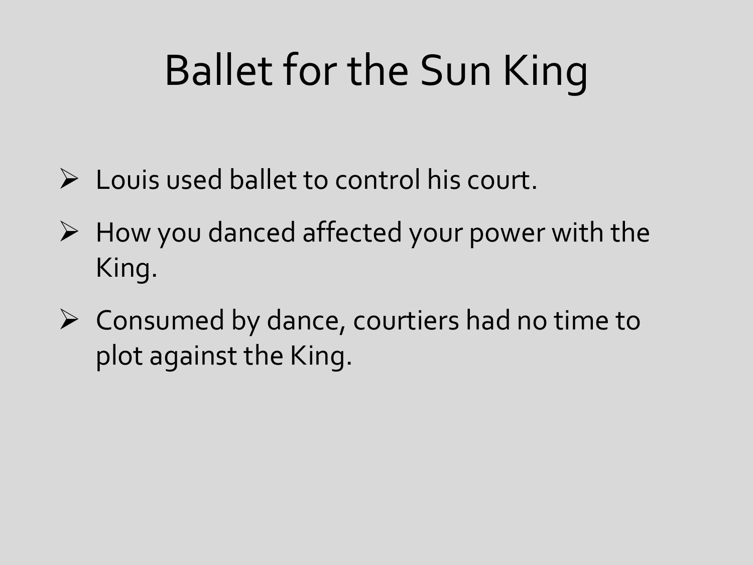# Ballet for the Sun King

- $\triangleright$  Louis used ballet to control his court.
- $\triangleright$  How you danced affected your power with the King.
- $\triangleright$  Consumed by dance, courtiers had no time to plot against the King.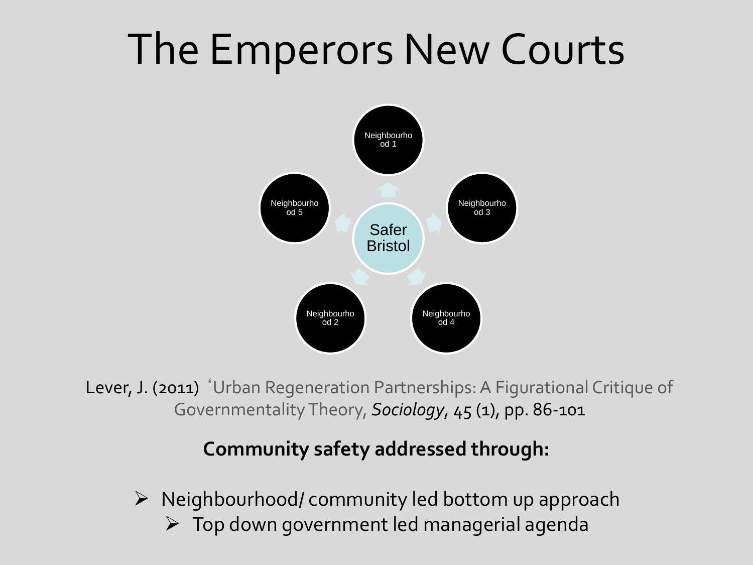# The Emperors New Courts



Lever, J. (2011) 'Urban Regeneration Partnerships: A Figurational Critique of Governmentality Theory, *Sociology*, 45 (1), pp. 86-101

#### **Community safety addressed through:**

 $\triangleright$  Neighbourhood/ community led bottom up approach Top down government led managerial agenda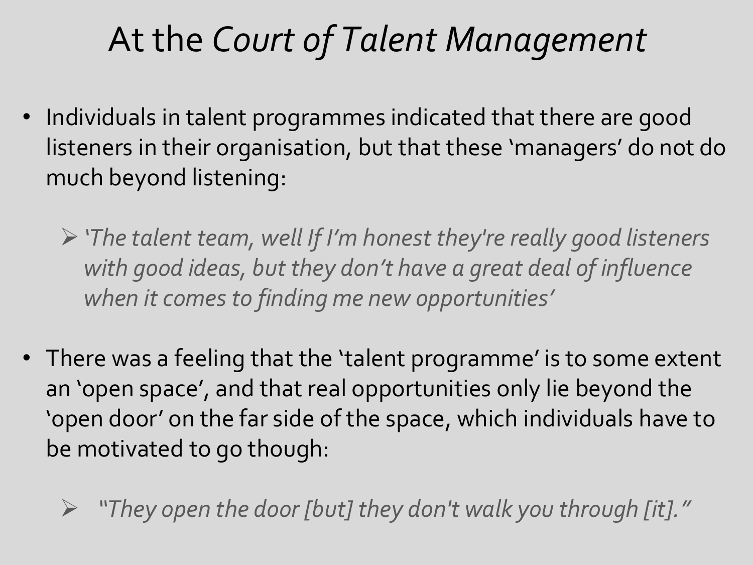## At the *Court of Talent Management*

- Individuals in talent programmes indicated that there are good listeners in their organisation, but that these 'managers' do not do much beyond listening:
	- *'The talent team, well If I'm honest they're really good listeners with good ideas, but they don't have a great deal of influence when it comes to finding me new opportunities'*
- There was a feeling that the 'talent programme' is to some extent an 'open space', and that real opportunities only lie beyond the 'open door' on the far side of the space, which individuals have to be motivated to go though:

*"They open the door [but] they don't walk you through [it]."*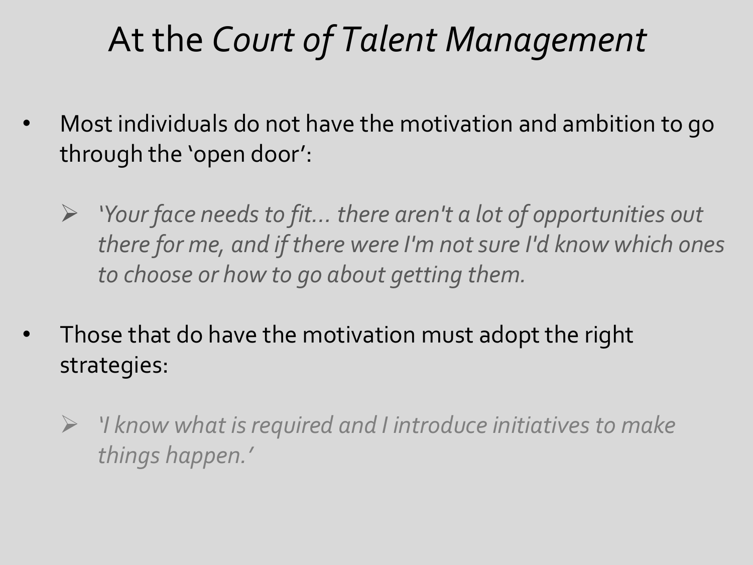## At the *Court of Talent Management*

- Most individuals do not have the motivation and ambition to go through the 'open door' :
	- *'Your face needs to fit… there aren't a lot of opportunities out there for me, and if there were I'm not sure I'd know which ones to choose or how to go about getting them.*
- Those that do have the motivation must adopt the right strategies:
	- *'I know what is required and I introduce initiatives to make things happen.'*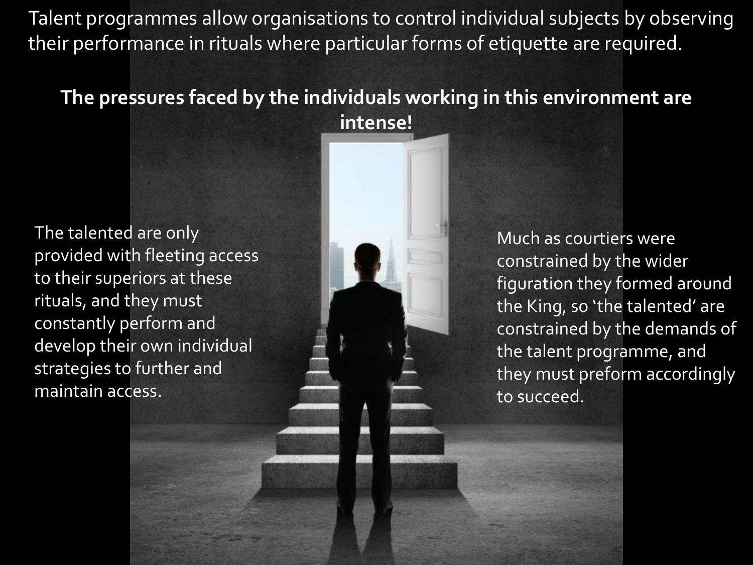Talent programmes allow organisations to control individual subjects by observing their performance in rituals where particular forms of etiquette are required.

#### **The pressures faced by the individuals working in this environment are intense!**

The talented are only provided with fleeting access to their superiors at these rituals, and they must constantly perform and develop their own individual strategies to further and maintain access.

Much as courtiers were constrained by the wider figuration they formed around the King, so 'the talented' are constrained by the demands of the talent programme, and they must preform accordingly to succeed.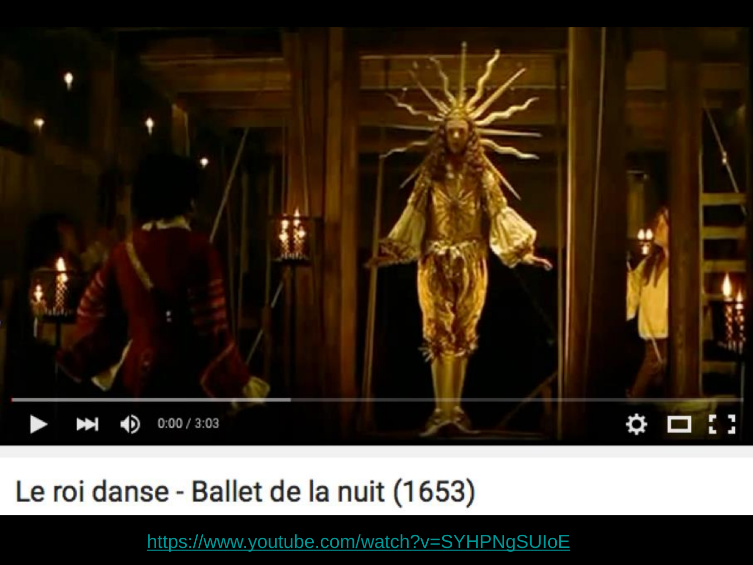

#### Le roi danse - Ballet de la nuit (1653)

<https://www.youtube.com/watch?v=SYHPNgSUIoE>